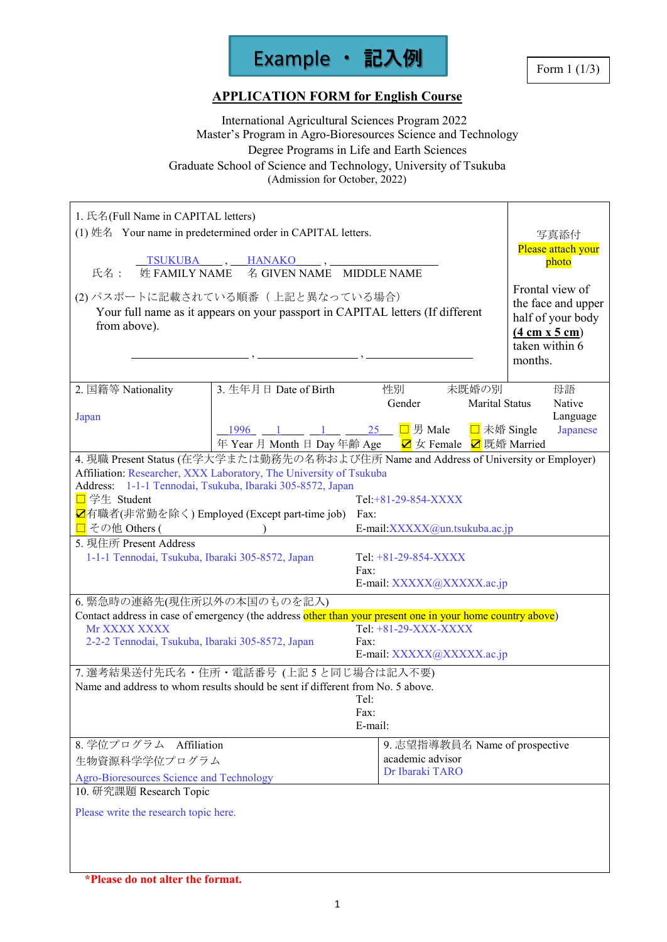

# **APPLICATION FORM for English Course**

 International Agricultural Sciences Program 2022 Master's Program in Agro-Bioresources Science and Technology Degree Programs in Life and Earth Sciences Graduate School of Science and Technology, University of Tsukuba (Admission for October, 2022)

| 1. 氏名(Full Name in CAPITAL letters)<br>氏名 :<br>from above).                                    | (1) 姓名 Your name in predetermined order in CAPITAL letters.<br>TSUKUBA, HANAKO, POSTA<br>姓 FAMILY NAME 名 GIVEN NAME MIDDLE NAME<br>(2) パスポートに記載されている順番(上記と異なっている場合)<br>Your full name as it appears on your passport in CAPITAL letters (If different                                 |                                                              |                                                                       |                       | 写真添付<br>Please attach your<br>photo<br>Frontal view of<br>the face and upper<br>half of your body<br>$(4 \text{ cm } x 5 \text{ cm})$<br>taken within 6<br>months. |
|------------------------------------------------------------------------------------------------|---------------------------------------------------------------------------------------------------------------------------------------------------------------------------------------------------------------------------------------------------------------------------------------|--------------------------------------------------------------|-----------------------------------------------------------------------|-----------------------|--------------------------------------------------------------------------------------------------------------------------------------------------------------------|
| 2. 国籍等 Nationality                                                                             | 3. 生年月日 Date of Birth                                                                                                                                                                                                                                                                 | 性別                                                           | 未既婚の別                                                                 |                       | 母語                                                                                                                                                                 |
| Japan                                                                                          | 1996 1 1 1 25 □ 男 Male □ 未婚 Single<br>年 Year 月 Month 日 Day 年齢 Age<br>Z 女 Female Z 既婚 Married                                                                                                                                                                                          | Gender                                                       |                                                                       | <b>Marital Status</b> | Native<br>Language<br>Japanese                                                                                                                                     |
| □ 学生 Student<br>□ その他 Others (                                                                 | 4. 現職 Present Status (在学大学または勤務先の名称および住所 Name and Address of University or Employer)<br>Affiliation: Researcher, XXX Laboratory, The University of Tsukuba<br>Address: 1-1-1 Tennodai, Tsukuba, Ibaraki 305-8572, Japan<br><mark>☑</mark> 有職者(非常勤を除く) Employed (Except part-time job) | Tel:+81-29-854-XXXX<br>Fax:<br>E-mail:XXXXX@un.tsukuba.ac.jp |                                                                       |                       |                                                                                                                                                                    |
| 5. 現住所 Present Address<br>1-1-1 Tennodai, Tsukuba, Ibaraki 305-8572, Japan                     |                                                                                                                                                                                                                                                                                       | Tel: $+81-29-854-XXXX$<br>Fax:                               | E-mail: XXXXX@XXXXX.ac.jp                                             |                       |                                                                                                                                                                    |
| 6. 緊急時の連絡先(現住所以外の本国のものを記入)<br>Mr XXXX XXXX<br>2-2-2 Tennodai, Tsukuba, Ibaraki 305-8572, Japan | Contact address in case of emergency (the address other than your present one in your home country above)                                                                                                                                                                             | Tel: +81-29-XXX-XXXX<br>Fax:<br>E-mail: XXXXX@XXXXX.ac.jp    |                                                                       |                       |                                                                                                                                                                    |
|                                                                                                | 7. 選考結果送付先氏名·住所·電話番号 (上記5と同じ場合は記入不要)<br>Name and address to whom results should be sent if different from No. 5 above.                                                                                                                                                                | Tel:<br>Fax:<br>E-mail:                                      |                                                                       |                       |                                                                                                                                                                    |
| 8. 学位プログラム Affiliation<br>生物資源科学学位プログラム<br>Agro-Bioresources Science and Technology            |                                                                                                                                                                                                                                                                                       |                                                              | 9. 志望指導教員名 Name of prospective<br>academic advisor<br>Dr Ibaraki TARO |                       |                                                                                                                                                                    |
| 10. 研究課題 Research Topic<br>Please write the research topic here.                               |                                                                                                                                                                                                                                                                                       |                                                              |                                                                       |                       |                                                                                                                                                                    |

**<sup>\*</sup>Please do not alter the format.**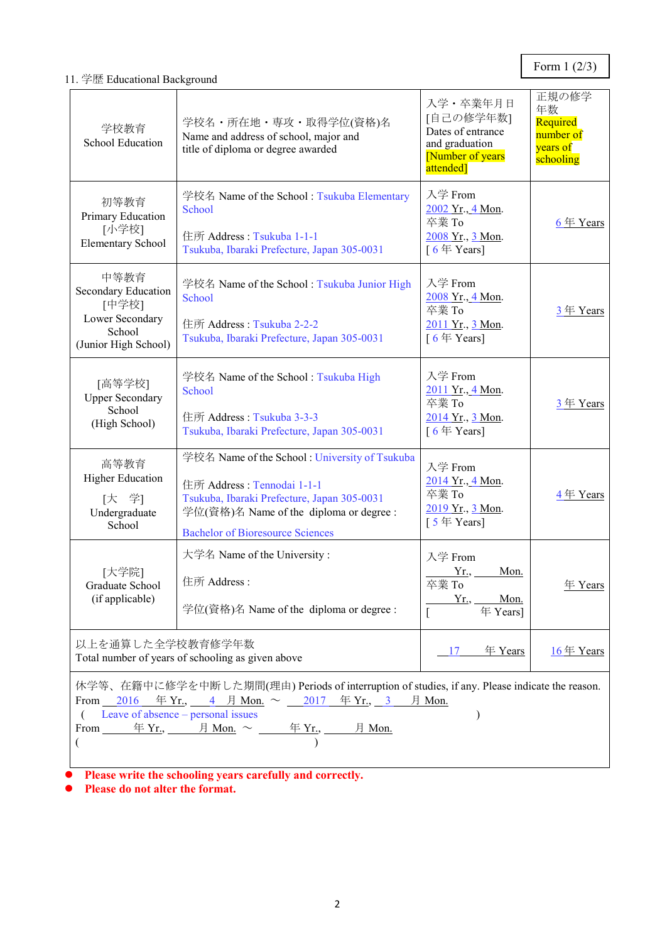Form 1 (2/3)

## 11. 学歴 Educational Background

| 学校教育<br><b>School Education</b>                                                                                                                                                                                                                                                                                                                                                                                         | 学校名・所在地・専攻・取得学位(資格)名<br>Name and address of school, major and<br>title of diploma or degree awarded                                                                                                              | 入学·卒業年月日<br>[自己の修学年数]<br>Dates of entrance<br>and graduation<br>[Number of years]<br>attended] | 正規の修学<br>年数<br>Required<br>number of<br>years of<br>schooling |  |  |
|-------------------------------------------------------------------------------------------------------------------------------------------------------------------------------------------------------------------------------------------------------------------------------------------------------------------------------------------------------------------------------------------------------------------------|------------------------------------------------------------------------------------------------------------------------------------------------------------------------------------------------------------------|------------------------------------------------------------------------------------------------|---------------------------------------------------------------|--|--|
| 初等教育<br>Primary Education<br>[小学校]<br><b>Elementary School</b>                                                                                                                                                                                                                                                                                                                                                          | 学校名 Name of the School: Tsukuba Elementary<br>School<br>住所 Address: Tsukuba 1-1-1<br>Tsukuba, Ibaraki Prefecture, Japan 305-0031                                                                                 | 入学 From<br>2002 Yr., 4 Mon.<br>卒業 To<br>2008 Yr., 3 Mon.<br>[ $6 \nsubseteq$ Years]            | 6年 Years                                                      |  |  |
| 中等教育<br>Secondary Education<br>[中学校]<br>Lower Secondary<br>School<br>(Junior High School)                                                                                                                                                                                                                                                                                                                               | 学校名 Name of the School: Tsukuba Junior High<br>School<br>住所 Address: Tsukuba 2-2-2<br>Tsukuba, Ibaraki Prefecture, Japan 305-0031                                                                                | 入学 From<br>2008 Yr., 4 Mon.<br>卒業 To<br>2011 Yr., 3 Mon.<br>[ $6 \nleftrightarrow$ Years]      | 3年 Years                                                      |  |  |
| [高等学校]<br><b>Upper Secondary</b><br>School<br>(High School)                                                                                                                                                                                                                                                                                                                                                             | 学校名 Name of the School: Tsukuba High<br>School<br>住所 Address: Tsukuba 3-3-3<br>Tsukuba, Ibaraki Prefecture, Japan 305-0031                                                                                       | 入学 From<br>2011 Yr., 4 Mon.<br>卒業 To<br>2014 Yr., 3 Mon.<br>[ $6 \notin Years$ ]               | 3年 Years                                                      |  |  |
| 高等教育<br><b>Higher Education</b><br>[大 学]<br>Undergraduate<br>School                                                                                                                                                                                                                                                                                                                                                     | 学校名 Name of the School: University of Tsukuba<br>住所 Address: Tennodai 1-1-1<br>Tsukuba, Ibaraki Prefecture, Japan 305-0031<br>学位(資格)名 Name of the diploma or degree :<br><b>Bachelor of Bioresource Sciences</b> | 入学 From<br>2014 Yr., 4 Mon.<br>卒業 To<br>2019 Yr., 3 Mon.<br>[ $5 \notin Years$ ]               | 4年 Years                                                      |  |  |
| [大学院]<br>Graduate School<br>(if applicable)                                                                                                                                                                                                                                                                                                                                                                             | 大学名 Name of the University:<br>住所 Address:<br>学位(資格)名 Name of the diploma or degree :                                                                                                                            | 入学 From<br>Yr.,<br>Mon.<br>卒業 To<br>Yr., Mon.<br>年 Years]                                      | 年 Years                                                       |  |  |
| 以上を通算した全学校教育修学年数<br>年 Years<br>$16 \n\text{# Years}$<br>17<br>Total number of years of schooling as given above                                                                                                                                                                                                                                                                                                         |                                                                                                                                                                                                                  |                                                                                                |                                                               |  |  |
| 休学等、在籍中に修学を中断した期間(理由) Periods of interruption of studies, if any. Please indicate the reason.<br>From 2016 $\overline{4}$ Yr., 4 $\overline{4}$ Mon. $\sim$ 2017 $\overline{4}$ Yr., 3 $\overline{4}$ Mon.<br>Leave of absence – personal issues<br>$\mathcal{E}$<br>$\frac{\text{# } Y_{r.}}{\text{# } Y_{r.}}$ $\frac{\text{# } Y_{r.}}{\text{# } Y_{r.}}$ $\frac{\text{# } Y_{r.}}{\text{# } Y_{r.}}$<br>From ______ |                                                                                                                                                                                                                  |                                                                                                |                                                               |  |  |

**Please write the schooling years carefully and correctly.**

**Please do not alter the format.**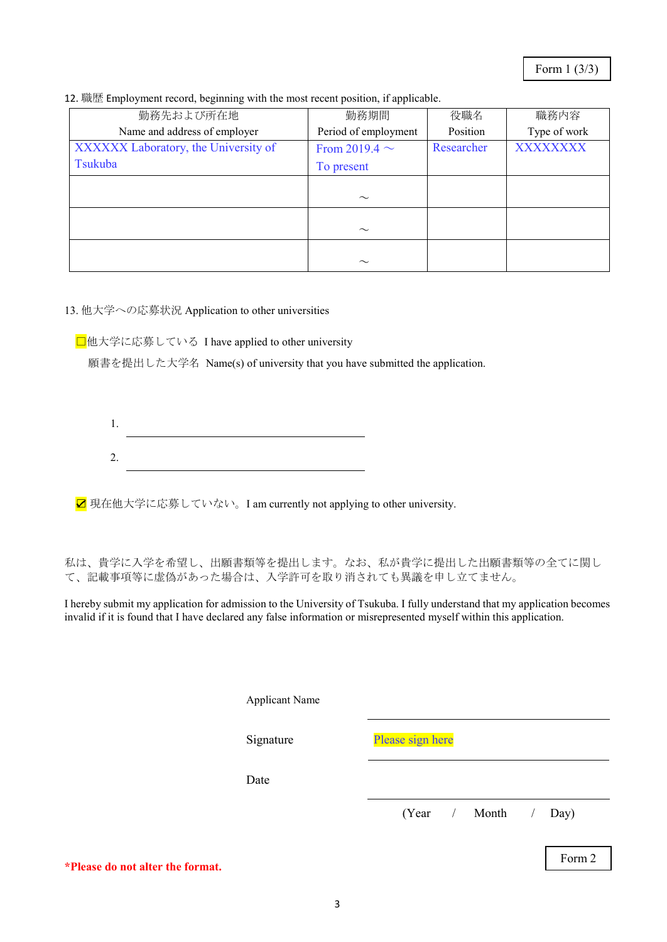|  |  |  | 12. 職歴 Employment record, beginning with the most recent position, if applicable. |  |
|--|--|--|-----------------------------------------------------------------------------------|--|
|  |  |  |                                                                                   |  |

| 勤務先および所在地                            | 勤務期間                 | 役職名        | 職務内容         |
|--------------------------------------|----------------------|------------|--------------|
| Name and address of employer         | Period of employment | Position   | Type of work |
| XXXXXX Laboratory, the University of | From 2019.4 $\sim$   | Researcher | XXXXXXXX     |
| Tsukuba                              | To present           |            |              |
|                                      |                      |            |              |
|                                      | $\sim$               |            |              |
|                                      |                      |            |              |
|                                      | $\sim$               |            |              |
|                                      |                      |            |              |
|                                      | $\sim$               |            |              |

13. 他大学への応募状況 Application to other universities

**□**他大学に応募している I have applied to other university

願書を提出した大学名 Name(s) of university that you have submitted the application.

2.

**☑** 現在他大学に応募していない。I am currently not applying to other university.

私は、貴学に入学を希望し、出願書類等を提出します。なお、私が貴学に提出した出願書類等の全てに関し て、記載事項等に虚偽があった場合は、入学許可を取り消されても異議を申し立てません。

I hereby submit my application for admission to the University of Tsukuba. I fully understand that my application becomes invalid if it is found that I have declared any false information or misrepresented myself within this application.

|                             | <b>Applicant Name</b> |                  |               |            |        |
|-----------------------------|-----------------------|------------------|---------------|------------|--------|
|                             | Signature             | Please sign here |               |            |        |
|                             | Date                  |                  |               |            |        |
|                             |                       |                  | (Year / Month | $\sqrt{2}$ | Day)   |
| t a bhaile bha a Cairmeacht |                       |                  |               |            | Form 2 |

**\*Please do not alter the format.**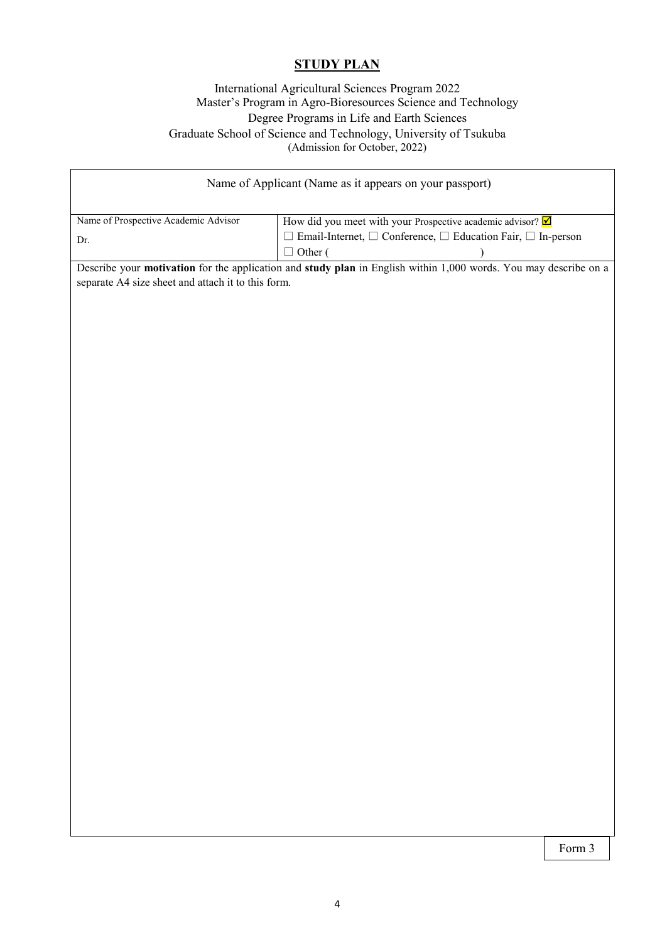# **STUDY PLAN**

#### International Agricultural Sciences Program 2022 Master's Program in Agro-Bioresources Science and Technology Degree Programs in Life and Earth Sciences Graduate School of Science and Technology, University of Tsukuba (Admission for October, 2022)

| Name of Applicant (Name as it appears on your passport)                                                                                                                |                                                                                                                                                                                        |  |  |  |  |
|------------------------------------------------------------------------------------------------------------------------------------------------------------------------|----------------------------------------------------------------------------------------------------------------------------------------------------------------------------------------|--|--|--|--|
| Name of Prospective Academic Advisor<br>Dr.                                                                                                                            | How did you meet with your Prospective academic advisor? $\boxed{\blacksquare}$<br>$\Box$ Email-Internet, $\Box$ Conference, $\Box$ Education Fair, $\Box$ In-person<br>$\Box$ Other ( |  |  |  |  |
| Describe your motivation for the application and study plan in English within 1,000 words. You may describe on a<br>separate A4 size sheet and attach it to this form. |                                                                                                                                                                                        |  |  |  |  |
|                                                                                                                                                                        |                                                                                                                                                                                        |  |  |  |  |
|                                                                                                                                                                        |                                                                                                                                                                                        |  |  |  |  |
|                                                                                                                                                                        |                                                                                                                                                                                        |  |  |  |  |
|                                                                                                                                                                        |                                                                                                                                                                                        |  |  |  |  |
|                                                                                                                                                                        |                                                                                                                                                                                        |  |  |  |  |
|                                                                                                                                                                        |                                                                                                                                                                                        |  |  |  |  |
|                                                                                                                                                                        |                                                                                                                                                                                        |  |  |  |  |
|                                                                                                                                                                        |                                                                                                                                                                                        |  |  |  |  |
|                                                                                                                                                                        |                                                                                                                                                                                        |  |  |  |  |
|                                                                                                                                                                        |                                                                                                                                                                                        |  |  |  |  |
|                                                                                                                                                                        |                                                                                                                                                                                        |  |  |  |  |
|                                                                                                                                                                        |                                                                                                                                                                                        |  |  |  |  |
|                                                                                                                                                                        |                                                                                                                                                                                        |  |  |  |  |

Form 3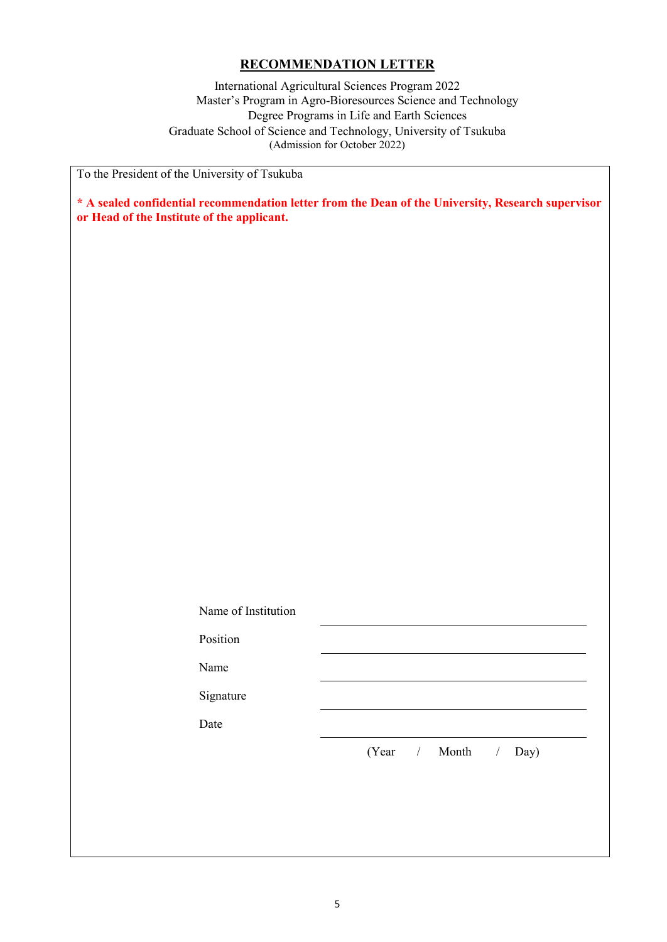## **RECOMMENDATION LETTER**

International Agricultural Sciences Program 2022 Master's Program in Agro-Bioresources Science and Technology Degree Programs in Life and Earth Sciences Graduate School of Science and Technology, University of Tsukuba (Admission for October 2022)

To the President of the University of Tsukuba

**\* A sealed confidential recommendation letter from the Dean of the University, Research supervisor or Head of the Institute of the applicant.**

| Name of Institution |                         |
|---------------------|-------------------------|
| Position            |                         |
| Name                |                         |
| Signature           |                         |
| Date                |                         |
|                     | (Year / Month /<br>Day) |
|                     |                         |
|                     |                         |
|                     |                         |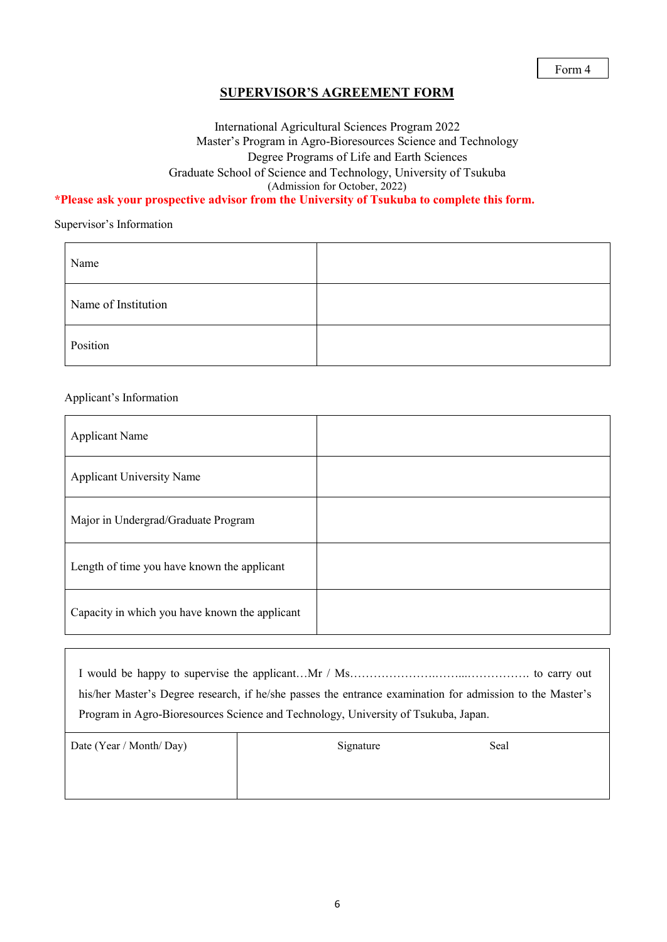## **SUPERVISOR'S AGREEMENT FORM**

## International Agricultural Sciences Program 2022 Master's Program in Agro-Bioresources Science and Technology Degree Programs of Life and Earth Sciences Graduate School of Science and Technology, University of Tsukuba (Admission for October, 2022)

#### **\*Please ask your prospective advisor from the University of Tsukuba to complete this form.**

Supervisor's Information

| Name                |  |
|---------------------|--|
| Name of Institution |  |
| Position            |  |

#### Applicant's Information

| <b>Applicant Name</b>                          |  |
|------------------------------------------------|--|
| <b>Applicant University Name</b>               |  |
| Major in Undergrad/Graduate Program            |  |
| Length of time you have known the applicant    |  |
| Capacity in which you have known the applicant |  |

| his/her Master's Degree research, if he/she passes the entrance examination for admission to the Master's |
|-----------------------------------------------------------------------------------------------------------|
| Program in Agro-Bioresources Science and Technology, University of Tsukuba, Japan.                        |
|                                                                                                           |

| Date (Year / Month/ Day) | Signature | Seal |
|--------------------------|-----------|------|
|                          |           |      |
|                          |           |      |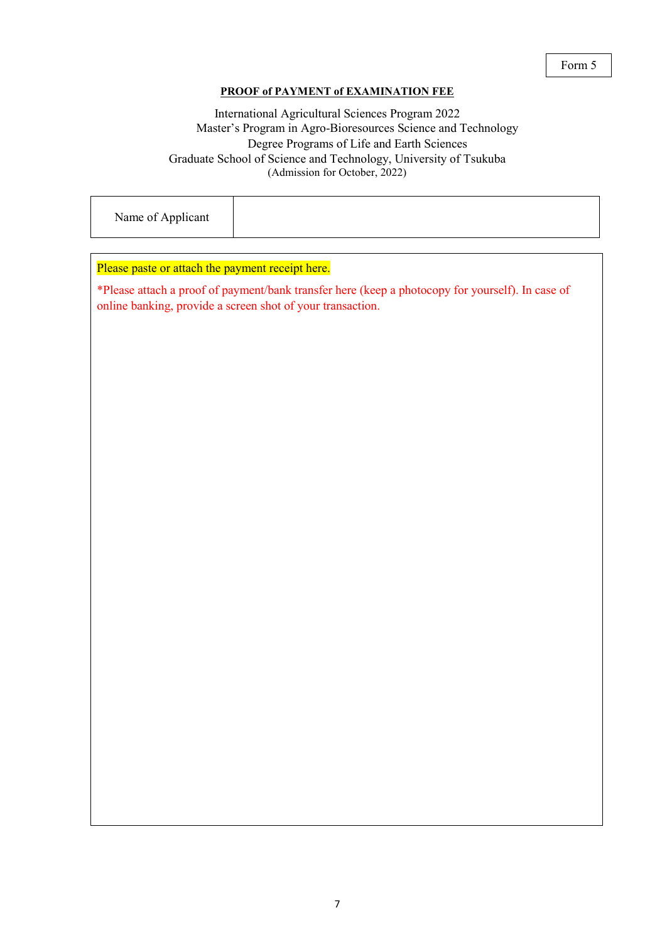#### **PROOF of PAYMENT of EXAMINATION FEE**

## International Agricultural Sciences Program 2022 Master's Program in Agro-Bioresources Science and Technology Degree Programs of Life and Earth Sciences Graduate School of Science and Technology, University of Tsukuba (Admission for October, 2022)

|--|--|

#### Please paste or attach the payment receipt here.

\*Please attach a proof of payment/bank transfer here (keep a photocopy for yourself). In case of online banking, provide a screen shot of your transaction.